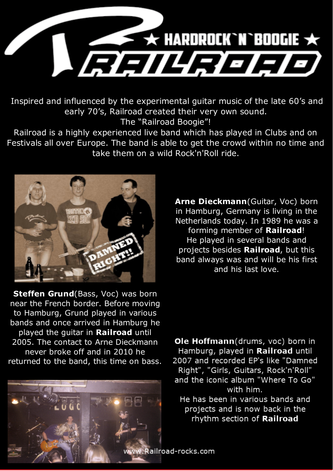

Inspired and influenced by the experimental guitar music of the late 60's and early 70's, Railroad created their very own sound. The "Railroad Boogie"!

Railroad is a highly experienced live band which has played in Clubs and on Festivals all over Europe. The band is able to get the crowd within no time and take them on a wild Rock'n'Roll ride.



**Steffen Grund**(Bass, Voc) was born near the French border. Before moving to Hamburg, Grund played in various bands and once arrived in Hamburg he played the guitar in **Railroad** until 2005. The contact to Arne Dieckmann never broke off and in 2010 he returned to the band, this time on bass.



**Arne Dieckmann**(Guitar, Voc) born in Hamburg, Germany is living in the Netherlands today. In 1989 he was a forming member of **Railroad**! He played in several bands and projects besides **Railroad**, but this band always was and will be his first and his last love.

Ole Hoffmann(drums, voc) born in Hamburg, played in Railroad until 2007 and recorded EP's like "Damned Right", "Girls, Guitars, Rock'n'Roll" and the iconic album "Where To Go" with him.

He has been in various bands and projects and is now back in the rhythm section of Railroad

v.Railroad-rocks.com